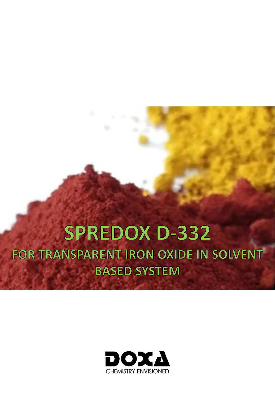# **SPREDOX D-332** FOR TRANSPARENT IRON OXIDE IN SOLVENT **BASED SYSTEM**

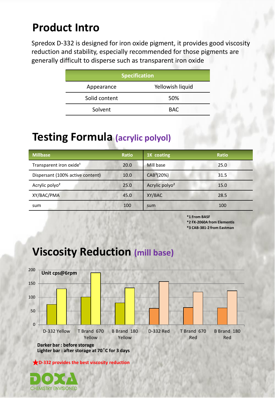# **Product Intro**

Spredox D-332 is designed for iron oxide pigment, it provides good viscosity reduction and stability, especially recommended for those pigments are generally difficult to disperse such as transparent iron oxide

| <b>Specification</b>           |            |  |  |  |
|--------------------------------|------------|--|--|--|
| Yellowish liquid<br>Appearance |            |  |  |  |
| Solid content                  | 50%        |  |  |  |
| Solvent                        | <b>BAC</b> |  |  |  |

#### **Testing Formula (acrylic polyol)**

| <b>Millbase</b>                     | <b>Ratio</b> | 1K coating                 | <b>Ratio</b> |
|-------------------------------------|--------------|----------------------------|--------------|
| Transparent iron oxide <sup>1</sup> | 20.0         | Mill base                  | 25.0         |
| Dispersant (100% active content)    | 10.0         | CAB <sup>3</sup> (20%)     | 31.5         |
| Acrylic polyo <sup>2</sup>          | 25.0         | Acrylic polyo <sup>2</sup> | 15.0         |
| XY/BAC/PMA                          | 45.0         | XY/BAC                     | 28.5         |
| sum                                 | 100          | sum                        | 100          |

**\*1 From BASF**

**\*2 FX-2060A from Elementis**

**\*3 CAB-381-2 from Eastman**



### **Viscosity Reduction (mill base)**

★**D-332 provides the best viscosity reduction**